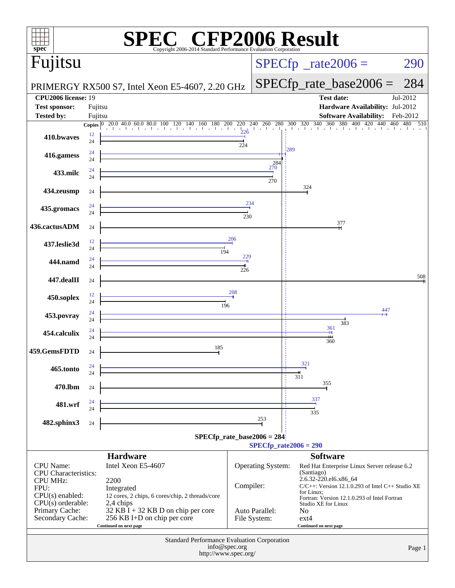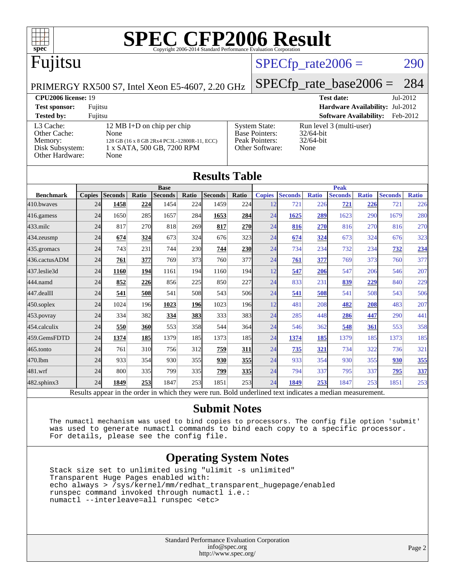

### $SPECTp_rate2006 = 290$

PRIMERGY RX500 S7, Intel Xeon E5-4607, 2.20 GHz

[SPECfp\\_rate\\_base2006 =](http://www.spec.org/auto/cpu2006/Docs/result-fields.html#SPECfpratebase2006) 284

#### **[CPU2006 license:](http://www.spec.org/auto/cpu2006/Docs/result-fields.html#CPU2006license)** 19 **[Test date:](http://www.spec.org/auto/cpu2006/Docs/result-fields.html#Testdate)** Jul-2012 **[Test sponsor:](http://www.spec.org/auto/cpu2006/Docs/result-fields.html#Testsponsor)** Fujitsu **[Hardware Availability:](http://www.spec.org/auto/cpu2006/Docs/result-fields.html#HardwareAvailability)** Jul-2012 **[Tested by:](http://www.spec.org/auto/cpu2006/Docs/result-fields.html#Testedby)** Fujitsu **[Software Availability:](http://www.spec.org/auto/cpu2006/Docs/result-fields.html#SoftwareAvailability)** Feb-2012 [L3 Cache:](http://www.spec.org/auto/cpu2006/Docs/result-fields.html#L3Cache) 12 MB I+D on chip per chip<br>Other Cache: None [Other Cache:](http://www.spec.org/auto/cpu2006/Docs/result-fields.html#OtherCache) [Memory:](http://www.spec.org/auto/cpu2006/Docs/result-fields.html#Memory) 128 GB (16 x 8 GB 2Rx4 PC3L-12800R-11, ECC) [Disk Subsystem:](http://www.spec.org/auto/cpu2006/Docs/result-fields.html#DiskSubsystem) 1 x SATA, 500 GB, 7200 RPM [Other Hardware:](http://www.spec.org/auto/cpu2006/Docs/result-fields.html#OtherHardware) None [System State:](http://www.spec.org/auto/cpu2006/Docs/result-fields.html#SystemState) Run level 3 (multi-user)<br>Base Pointers: 32/64-bit [Base Pointers:](http://www.spec.org/auto/cpu2006/Docs/result-fields.html#BasePointers) [Peak Pointers:](http://www.spec.org/auto/cpu2006/Docs/result-fields.html#PeakPointers) 32/64-bit [Other Software:](http://www.spec.org/auto/cpu2006/Docs/result-fields.html#OtherSoftware) None

|                   |               |                                                                                                          |       |                |            | <b>Results Table</b> |            |               |                |              |                |              |                |              |  |
|-------------------|---------------|----------------------------------------------------------------------------------------------------------|-------|----------------|------------|----------------------|------------|---------------|----------------|--------------|----------------|--------------|----------------|--------------|--|
|                   | <b>Base</b>   |                                                                                                          |       |                |            |                      |            | <b>Peak</b>   |                |              |                |              |                |              |  |
| <b>Benchmark</b>  | <b>Copies</b> | <b>Seconds</b>                                                                                           | Ratio | <b>Seconds</b> | Ratio      | <b>Seconds</b>       | Ratio      | <b>Copies</b> | <b>Seconds</b> | <b>Ratio</b> | <b>Seconds</b> | <b>Ratio</b> | <b>Seconds</b> | <b>Ratio</b> |  |
| 410.bwayes        | 24            | 1458                                                                                                     | 224   | 1454           | 224        | 1459                 | 224        | 12            | 721            | 226          | 721            | 226          | 721            | 226          |  |
| $416$ .gamess     | 24            | 1650                                                                                                     | 285   | 1657           | 284        | 1653                 | 284        | 24            | 1625           | 289          | 1623           | 290          | 1679           | 280          |  |
| $433$ .milc       | 24            | 817                                                                                                      | 270   | 818            | 269        | 817                  | <b>270</b> | 24            | 816            | 270          | 816            | 270          | 816            | 270          |  |
| $434$ . zeusmp    | 24            | 674                                                                                                      | 324   | 673            | 324        | 676                  | 323        | 24            | 674            | 324          | 673            | 324          | 676            | 323          |  |
| 435.gromacs       | 24            | 743                                                                                                      | 231   | 744            | <b>230</b> | 744                  | 230        | 24            | 734            | 234          | 732            | 234          | 732            | 234          |  |
| 436.cactusADM     | 24            | 761                                                                                                      | 377   | 769            | 373        | 760                  | 377        | 24            | 761            | 377          | 769            | 373          | 760            | 377          |  |
| 437.leslie3d      | 24            | 1160                                                                                                     | 194   | 1161           | 194        | 1160                 | 194        | 12            | 547            | 206          | 547            | 206          | 546            | 207          |  |
| 444.namd          | 24            | 852                                                                                                      | 226   | 856            | 225        | 850                  | 227        | 24            | 833            | 231          | 839            | 229          | 840            | 229          |  |
| 447.dealII        | 24            | 541                                                                                                      | 508   | 541            | 508        | 543                  | 506        | 24            | 541            | 508          | 541            | 508          | 543            | 506          |  |
| 450.soplex        | 24            | 1024                                                                                                     | 196   | 1023           | 196        | 1023                 | <b>196</b> | 12            | 481            | 208          | 482            | 208          | 483            | 207          |  |
| $453$ .povray     | 24            | 334                                                                                                      | 382   | 334            | 383        | 333                  | 383        | 24            | 285            | 448          | 286            | 447          | 290            | 441          |  |
| 454.calculix      | 24            | 550                                                                                                      | 360   | 553            | 358        | 544                  | 364        | 24            | 546            | 362          | 548            | 361          | 553            | 358          |  |
| 459.GemsFDTD      | 24            | 1374                                                                                                     | 185   | 1379           | 185        | 1373                 | 185        | 24            | 1374           | 185          | 1379           | 185          | 1373           | 185          |  |
| 465.tonto         | 24            | 761                                                                                                      | 310   | 756            | 312        | 759                  | 311        | 24            | 735            | 321          | 734            | 322          | 736            | 321          |  |
| 470.1bm           | 24            | 933                                                                                                      | 354   | 930            | 355        | 930                  | 355        | 24            | 933            | 354          | 930            | 355          | 930            | 355          |  |
| 481.wrf           | 24            | 800                                                                                                      | 335   | 799            | 335        | 799                  | 335        | 24            | 794            | 337          | 795            | 337          | 795            | 337          |  |
| $482$ .sphinx $3$ | 24            | 1849                                                                                                     | 253   | 1847           | 253        | 1851                 | 253        | 24            | 1849           | 253          | 1847           | 253          | 1851           | 253          |  |
|                   |               | Results appear in the order in which they were run. Bold underlined text indicates a median measurement. |       |                |            |                      |            |               |                |              |                |              |                |              |  |

#### **[Submit Notes](http://www.spec.org/auto/cpu2006/Docs/result-fields.html#SubmitNotes)**

 The numactl mechanism was used to bind copies to processors. The config file option 'submit' was used to generate numactl commands to bind each copy to a specific processor. For details, please see the config file.

### **[Operating System Notes](http://www.spec.org/auto/cpu2006/Docs/result-fields.html#OperatingSystemNotes)**

 Stack size set to unlimited using "ulimit -s unlimited" Transparent Huge Pages enabled with: echo always > /sys/kernel/mm/redhat\_transparent\_hugepage/enabled runspec command invoked through numactl i.e.: numactl --interleave=all runspec <etc>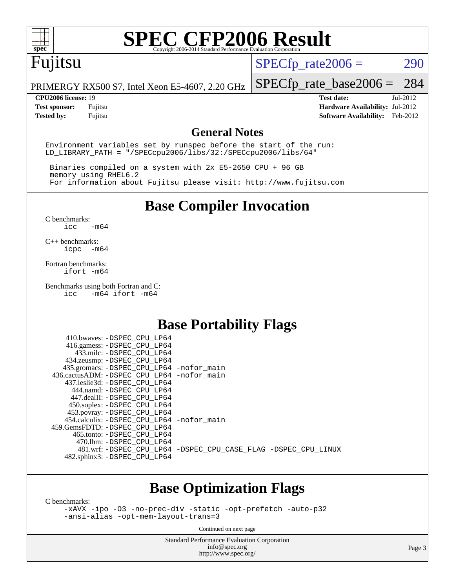

# Fujitsu

 $SPECTp_rate2006 = 290$ 

PRIMERGY RX500 S7, Intel Xeon E5-4607, 2.20 GHz

[SPECfp\\_rate\\_base2006 =](http://www.spec.org/auto/cpu2006/Docs/result-fields.html#SPECfpratebase2006) 284

**[CPU2006 license:](http://www.spec.org/auto/cpu2006/Docs/result-fields.html#CPU2006license)** 19 **[Test date:](http://www.spec.org/auto/cpu2006/Docs/result-fields.html#Testdate)** Jul-2012 **[Test sponsor:](http://www.spec.org/auto/cpu2006/Docs/result-fields.html#Testsponsor)** Fujitsu **[Hardware Availability:](http://www.spec.org/auto/cpu2006/Docs/result-fields.html#HardwareAvailability)** Jul-2012 **[Tested by:](http://www.spec.org/auto/cpu2006/Docs/result-fields.html#Testedby)** Fujitsu **[Software Availability:](http://www.spec.org/auto/cpu2006/Docs/result-fields.html#SoftwareAvailability)** Feb-2012

#### **[General Notes](http://www.spec.org/auto/cpu2006/Docs/result-fields.html#GeneralNotes)**

Environment variables set by runspec before the start of the run: LD\_LIBRARY\_PATH = "/SPECcpu2006/libs/32:/SPECcpu2006/libs/64"

 Binaries compiled on a system with 2x E5-2650 CPU + 96 GB memory using RHEL6.2 For information about Fujitsu please visit: <http://www.fujitsu.com>

**[Base Compiler Invocation](http://www.spec.org/auto/cpu2006/Docs/result-fields.html#BaseCompilerInvocation)**

[C benchmarks](http://www.spec.org/auto/cpu2006/Docs/result-fields.html#Cbenchmarks):  $\text{icc}$   $-\text{m64}$ 

[C++ benchmarks:](http://www.spec.org/auto/cpu2006/Docs/result-fields.html#CXXbenchmarks) [icpc -m64](http://www.spec.org/cpu2006/results/res2012q3/cpu2006-20120730-23902.flags.html#user_CXXbase_intel_icpc_64bit_bedb90c1146cab66620883ef4f41a67e)

[Fortran benchmarks](http://www.spec.org/auto/cpu2006/Docs/result-fields.html#Fortranbenchmarks): [ifort -m64](http://www.spec.org/cpu2006/results/res2012q3/cpu2006-20120730-23902.flags.html#user_FCbase_intel_ifort_64bit_ee9d0fb25645d0210d97eb0527dcc06e)

[Benchmarks using both Fortran and C](http://www.spec.org/auto/cpu2006/Docs/result-fields.html#BenchmarksusingbothFortranandC):<br>icc -m64 ifort -m64  $-m64$  ifort  $-m64$ 

## **[Base Portability Flags](http://www.spec.org/auto/cpu2006/Docs/result-fields.html#BasePortabilityFlags)**

| 410.bwaves: -DSPEC CPU LP64                  |                                                                |
|----------------------------------------------|----------------------------------------------------------------|
| 416.gamess: -DSPEC_CPU_LP64                  |                                                                |
| 433.milc: -DSPEC CPU LP64                    |                                                                |
| 434.zeusmp: - DSPEC CPU LP64                 |                                                                |
| 435.gromacs: -DSPEC_CPU_LP64 -nofor_main     |                                                                |
| 436.cactusADM: - DSPEC CPU LP64 - nofor main |                                                                |
| 437.leslie3d: -DSPEC CPU LP64                |                                                                |
| 444.namd: -DSPEC CPU LP64                    |                                                                |
| 447.dealII: -DSPEC CPU LP64                  |                                                                |
| 450.soplex: -DSPEC_CPU_LP64                  |                                                                |
| 453.povray: -DSPEC_CPU_LP64                  |                                                                |
| 454.calculix: - DSPEC CPU LP64 - nofor main  |                                                                |
| 459.GemsFDTD: - DSPEC_CPU LP64               |                                                                |
| 465.tonto: - DSPEC CPU LP64                  |                                                                |
| 470.1bm: - DSPEC CPU LP64                    |                                                                |
|                                              | 481.wrf: -DSPEC_CPU_LP64 -DSPEC_CPU_CASE_FLAG -DSPEC_CPU_LINUX |
| 482.sphinx3: -DSPEC_CPU_LP64                 |                                                                |
|                                              |                                                                |

## **[Base Optimization Flags](http://www.spec.org/auto/cpu2006/Docs/result-fields.html#BaseOptimizationFlags)**

[C benchmarks](http://www.spec.org/auto/cpu2006/Docs/result-fields.html#Cbenchmarks):

[-xAVX](http://www.spec.org/cpu2006/results/res2012q3/cpu2006-20120730-23902.flags.html#user_CCbase_f-xAVX) [-ipo](http://www.spec.org/cpu2006/results/res2012q3/cpu2006-20120730-23902.flags.html#user_CCbase_f-ipo) [-O3](http://www.spec.org/cpu2006/results/res2012q3/cpu2006-20120730-23902.flags.html#user_CCbase_f-O3) [-no-prec-div](http://www.spec.org/cpu2006/results/res2012q3/cpu2006-20120730-23902.flags.html#user_CCbase_f-no-prec-div) [-static](http://www.spec.org/cpu2006/results/res2012q3/cpu2006-20120730-23902.flags.html#user_CCbase_f-static) [-opt-prefetch](http://www.spec.org/cpu2006/results/res2012q3/cpu2006-20120730-23902.flags.html#user_CCbase_f-opt-prefetch) [-auto-p32](http://www.spec.org/cpu2006/results/res2012q3/cpu2006-20120730-23902.flags.html#user_CCbase_f-auto-p32) [-ansi-alias](http://www.spec.org/cpu2006/results/res2012q3/cpu2006-20120730-23902.flags.html#user_CCbase_f-ansi-alias) [-opt-mem-layout-trans=3](http://www.spec.org/cpu2006/results/res2012q3/cpu2006-20120730-23902.flags.html#user_CCbase_f-opt-mem-layout-trans_a7b82ad4bd7abf52556d4961a2ae94d5)

Continued on next page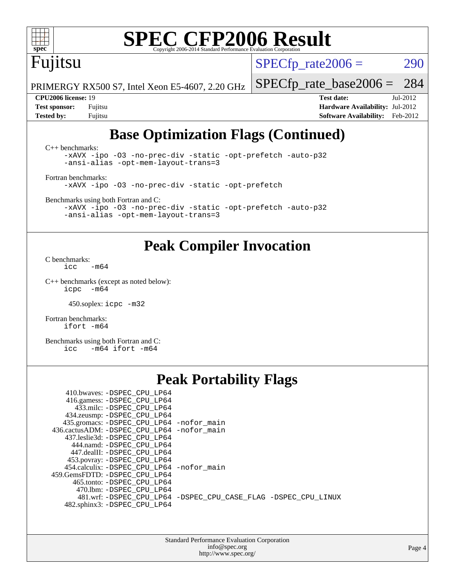# Fujitsu

 $SPECTp\_rate2006 = 290$ 

PRIMERGY RX500 S7, Intel Xeon E5-4607, 2.20 GHz

**[Test sponsor:](http://www.spec.org/auto/cpu2006/Docs/result-fields.html#Testsponsor)** Fujitsu **[Hardware Availability:](http://www.spec.org/auto/cpu2006/Docs/result-fields.html#HardwareAvailability)** Jul-2012 **[Tested by:](http://www.spec.org/auto/cpu2006/Docs/result-fields.html#Testedby)** Fujitsu **[Software Availability:](http://www.spec.org/auto/cpu2006/Docs/result-fields.html#SoftwareAvailability)** Feb-2012

[SPECfp\\_rate\\_base2006 =](http://www.spec.org/auto/cpu2006/Docs/result-fields.html#SPECfpratebase2006) 284 **[CPU2006 license:](http://www.spec.org/auto/cpu2006/Docs/result-fields.html#CPU2006license)** 19 **[Test date:](http://www.spec.org/auto/cpu2006/Docs/result-fields.html#Testdate)** Jul-2012

## **[Base Optimization Flags \(Continued\)](http://www.spec.org/auto/cpu2006/Docs/result-fields.html#BaseOptimizationFlags)**

[C++ benchmarks:](http://www.spec.org/auto/cpu2006/Docs/result-fields.html#CXXbenchmarks) [-xAVX](http://www.spec.org/cpu2006/results/res2012q3/cpu2006-20120730-23902.flags.html#user_CXXbase_f-xAVX) [-ipo](http://www.spec.org/cpu2006/results/res2012q3/cpu2006-20120730-23902.flags.html#user_CXXbase_f-ipo) [-O3](http://www.spec.org/cpu2006/results/res2012q3/cpu2006-20120730-23902.flags.html#user_CXXbase_f-O3) [-no-prec-div](http://www.spec.org/cpu2006/results/res2012q3/cpu2006-20120730-23902.flags.html#user_CXXbase_f-no-prec-div) [-static](http://www.spec.org/cpu2006/results/res2012q3/cpu2006-20120730-23902.flags.html#user_CXXbase_f-static) [-opt-prefetch](http://www.spec.org/cpu2006/results/res2012q3/cpu2006-20120730-23902.flags.html#user_CXXbase_f-opt-prefetch) [-auto-p32](http://www.spec.org/cpu2006/results/res2012q3/cpu2006-20120730-23902.flags.html#user_CXXbase_f-auto-p32) [-ansi-alias](http://www.spec.org/cpu2006/results/res2012q3/cpu2006-20120730-23902.flags.html#user_CXXbase_f-ansi-alias) [-opt-mem-layout-trans=3](http://www.spec.org/cpu2006/results/res2012q3/cpu2006-20120730-23902.flags.html#user_CXXbase_f-opt-mem-layout-trans_a7b82ad4bd7abf52556d4961a2ae94d5) [Fortran benchmarks](http://www.spec.org/auto/cpu2006/Docs/result-fields.html#Fortranbenchmarks):

[-xAVX](http://www.spec.org/cpu2006/results/res2012q3/cpu2006-20120730-23902.flags.html#user_FCbase_f-xAVX) [-ipo](http://www.spec.org/cpu2006/results/res2012q3/cpu2006-20120730-23902.flags.html#user_FCbase_f-ipo) [-O3](http://www.spec.org/cpu2006/results/res2012q3/cpu2006-20120730-23902.flags.html#user_FCbase_f-O3) [-no-prec-div](http://www.spec.org/cpu2006/results/res2012q3/cpu2006-20120730-23902.flags.html#user_FCbase_f-no-prec-div) [-static](http://www.spec.org/cpu2006/results/res2012q3/cpu2006-20120730-23902.flags.html#user_FCbase_f-static) [-opt-prefetch](http://www.spec.org/cpu2006/results/res2012q3/cpu2006-20120730-23902.flags.html#user_FCbase_f-opt-prefetch)

[Benchmarks using both Fortran and C](http://www.spec.org/auto/cpu2006/Docs/result-fields.html#BenchmarksusingbothFortranandC):

[-xAVX](http://www.spec.org/cpu2006/results/res2012q3/cpu2006-20120730-23902.flags.html#user_CC_FCbase_f-xAVX) [-ipo](http://www.spec.org/cpu2006/results/res2012q3/cpu2006-20120730-23902.flags.html#user_CC_FCbase_f-ipo) [-O3](http://www.spec.org/cpu2006/results/res2012q3/cpu2006-20120730-23902.flags.html#user_CC_FCbase_f-O3) [-no-prec-div](http://www.spec.org/cpu2006/results/res2012q3/cpu2006-20120730-23902.flags.html#user_CC_FCbase_f-no-prec-div) [-static](http://www.spec.org/cpu2006/results/res2012q3/cpu2006-20120730-23902.flags.html#user_CC_FCbase_f-static) [-opt-prefetch](http://www.spec.org/cpu2006/results/res2012q3/cpu2006-20120730-23902.flags.html#user_CC_FCbase_f-opt-prefetch) [-auto-p32](http://www.spec.org/cpu2006/results/res2012q3/cpu2006-20120730-23902.flags.html#user_CC_FCbase_f-auto-p32) [-ansi-alias](http://www.spec.org/cpu2006/results/res2012q3/cpu2006-20120730-23902.flags.html#user_CC_FCbase_f-ansi-alias) [-opt-mem-layout-trans=3](http://www.spec.org/cpu2006/results/res2012q3/cpu2006-20120730-23902.flags.html#user_CC_FCbase_f-opt-mem-layout-trans_a7b82ad4bd7abf52556d4961a2ae94d5)

## **[Peak Compiler Invocation](http://www.spec.org/auto/cpu2006/Docs/result-fields.html#PeakCompilerInvocation)**

[C benchmarks](http://www.spec.org/auto/cpu2006/Docs/result-fields.html#Cbenchmarks):  $\text{icc}$   $-\text{m64}$ 

[C++ benchmarks \(except as noted below\):](http://www.spec.org/auto/cpu2006/Docs/result-fields.html#CXXbenchmarksexceptasnotedbelow) [icpc -m64](http://www.spec.org/cpu2006/results/res2012q3/cpu2006-20120730-23902.flags.html#user_CXXpeak_intel_icpc_64bit_bedb90c1146cab66620883ef4f41a67e)

450.soplex: [icpc -m32](http://www.spec.org/cpu2006/results/res2012q3/cpu2006-20120730-23902.flags.html#user_peakCXXLD450_soplex_intel_icpc_4e5a5ef1a53fd332b3c49e69c3330699)

[Fortran benchmarks](http://www.spec.org/auto/cpu2006/Docs/result-fields.html#Fortranbenchmarks): [ifort -m64](http://www.spec.org/cpu2006/results/res2012q3/cpu2006-20120730-23902.flags.html#user_FCpeak_intel_ifort_64bit_ee9d0fb25645d0210d97eb0527dcc06e)

[Benchmarks using both Fortran and C](http://www.spec.org/auto/cpu2006/Docs/result-fields.html#BenchmarksusingbothFortranandC): [icc -m64](http://www.spec.org/cpu2006/results/res2012q3/cpu2006-20120730-23902.flags.html#user_CC_FCpeak_intel_icc_64bit_0b7121f5ab7cfabee23d88897260401c) [ifort -m64](http://www.spec.org/cpu2006/results/res2012q3/cpu2006-20120730-23902.flags.html#user_CC_FCpeak_intel_ifort_64bit_ee9d0fb25645d0210d97eb0527dcc06e)

## **[Peak Portability Flags](http://www.spec.org/auto/cpu2006/Docs/result-fields.html#PeakPortabilityFlags)**

| 410.bwaves: -DSPEC CPU LP64                  |                                                                |
|----------------------------------------------|----------------------------------------------------------------|
| 416.gamess: -DSPEC_CPU_LP64                  |                                                                |
| 433.milc: -DSPEC CPU LP64                    |                                                                |
| 434.zeusmp: -DSPEC_CPU_LP64                  |                                                                |
| 435.gromacs: -DSPEC_CPU_LP64 -nofor_main     |                                                                |
| 436.cactusADM: - DSPEC CPU LP64 - nofor main |                                                                |
| 437.leslie3d: -DSPEC CPU LP64                |                                                                |
| 444.namd: -DSPEC CPU LP64                    |                                                                |
| 447.dealII: -DSPEC CPU LP64                  |                                                                |
| 453.povray: -DSPEC_CPU_LP64                  |                                                                |
| 454.calculix: - DSPEC CPU LP64 - nofor main  |                                                                |
| 459. GemsFDTD: - DSPEC CPU LP64              |                                                                |
| 465.tonto: - DSPEC CPU LP64                  |                                                                |
| 470.1bm: - DSPEC CPU LP64                    |                                                                |
|                                              | 481.wrf: -DSPEC_CPU_LP64 -DSPEC_CPU_CASE_FLAG -DSPEC_CPU_LINUX |
| 482.sphinx3: -DSPEC_CPU_LP64                 |                                                                |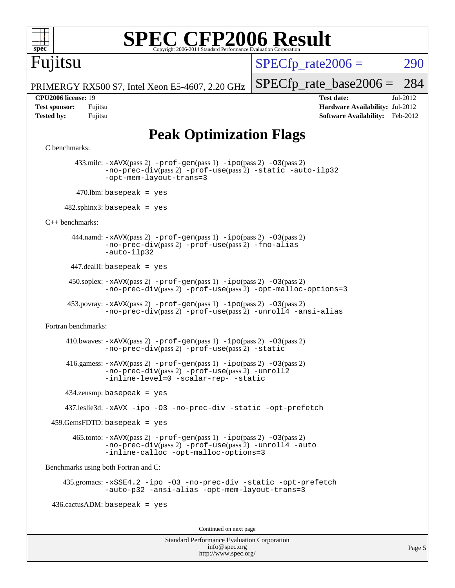

# Fujitsu

 $SPECTp\_rate2006 = 290$ 

PRIMERGY RX500 S7, Intel Xeon E5-4607, 2.20 GHz

**[Tested by:](http://www.spec.org/auto/cpu2006/Docs/result-fields.html#Testedby)** Fujitsu **[Software Availability:](http://www.spec.org/auto/cpu2006/Docs/result-fields.html#SoftwareAvailability)** Feb-2012

[SPECfp\\_rate\\_base2006 =](http://www.spec.org/auto/cpu2006/Docs/result-fields.html#SPECfpratebase2006) 284 **[CPU2006 license:](http://www.spec.org/auto/cpu2006/Docs/result-fields.html#CPU2006license)** 19 **[Test date:](http://www.spec.org/auto/cpu2006/Docs/result-fields.html#Testdate)** Jul-2012 **[Test sponsor:](http://www.spec.org/auto/cpu2006/Docs/result-fields.html#Testsponsor)** Fujitsu **[Hardware Availability:](http://www.spec.org/auto/cpu2006/Docs/result-fields.html#HardwareAvailability)** Jul-2012

## **[Peak Optimization Flags](http://www.spec.org/auto/cpu2006/Docs/result-fields.html#PeakOptimizationFlags)**

```
C benchmarks:
```
 433.milc: [-xAVX](http://www.spec.org/cpu2006/results/res2012q3/cpu2006-20120730-23902.flags.html#user_peakPASS2_CFLAGSPASS2_LDFLAGS433_milc_f-xAVX)(pass 2) [-prof-gen](http://www.spec.org/cpu2006/results/res2012q3/cpu2006-20120730-23902.flags.html#user_peakPASS1_CFLAGSPASS1_LDFLAGS433_milc_prof_gen_e43856698f6ca7b7e442dfd80e94a8fc)(pass 1) [-ipo](http://www.spec.org/cpu2006/results/res2012q3/cpu2006-20120730-23902.flags.html#user_peakPASS2_CFLAGSPASS2_LDFLAGS433_milc_f-ipo)(pass 2) [-O3](http://www.spec.org/cpu2006/results/res2012q3/cpu2006-20120730-23902.flags.html#user_peakPASS2_CFLAGSPASS2_LDFLAGS433_milc_f-O3)(pass 2) [-no-prec-div](http://www.spec.org/cpu2006/results/res2012q3/cpu2006-20120730-23902.flags.html#user_peakPASS2_CFLAGSPASS2_LDFLAGS433_milc_f-no-prec-div)(pass 2) [-prof-use](http://www.spec.org/cpu2006/results/res2012q3/cpu2006-20120730-23902.flags.html#user_peakPASS2_CFLAGSPASS2_LDFLAGS433_milc_prof_use_bccf7792157ff70d64e32fe3e1250b55)(pass 2) [-static](http://www.spec.org/cpu2006/results/res2012q3/cpu2006-20120730-23902.flags.html#user_peakOPTIMIZE433_milc_f-static) [-auto-ilp32](http://www.spec.org/cpu2006/results/res2012q3/cpu2006-20120730-23902.flags.html#user_peakCOPTIMIZE433_milc_f-auto-ilp32) [-opt-mem-layout-trans=3](http://www.spec.org/cpu2006/results/res2012q3/cpu2006-20120730-23902.flags.html#user_peakCOPTIMIZE433_milc_f-opt-mem-layout-trans_a7b82ad4bd7abf52556d4961a2ae94d5)  $470$ .lbm: basepeak = yes

 $482$ .sphinx3: basepeak = yes

[C++ benchmarks:](http://www.spec.org/auto/cpu2006/Docs/result-fields.html#CXXbenchmarks)

444.namd:  $-x$ AVX(pass 2)  $-p$ rof-gen(pass 1)  $-p$ po(pass 2)  $-03$ (pass 2) [-no-prec-div](http://www.spec.org/cpu2006/results/res2012q3/cpu2006-20120730-23902.flags.html#user_peakPASS2_CXXFLAGSPASS2_LDFLAGS444_namd_f-no-prec-div)(pass 2) [-prof-use](http://www.spec.org/cpu2006/results/res2012q3/cpu2006-20120730-23902.flags.html#user_peakPASS2_CXXFLAGSPASS2_LDFLAGS444_namd_prof_use_bccf7792157ff70d64e32fe3e1250b55)(pass 2) [-fno-alias](http://www.spec.org/cpu2006/results/res2012q3/cpu2006-20120730-23902.flags.html#user_peakCXXOPTIMIZE444_namd_f-no-alias_694e77f6c5a51e658e82ccff53a9e63a) [-auto-ilp32](http://www.spec.org/cpu2006/results/res2012q3/cpu2006-20120730-23902.flags.html#user_peakCXXOPTIMIZE444_namd_f-auto-ilp32)

 $447$ .dealII: basepeak = yes

 $450$ .soplex:  $-x$ AVX(pass 2)  $-p$ rof-gen(pass 1)  $-i$ po(pass 2)  $-03$ (pass 2) [-no-prec-div](http://www.spec.org/cpu2006/results/res2012q3/cpu2006-20120730-23902.flags.html#user_peakPASS2_CXXFLAGSPASS2_LDFLAGS450_soplex_f-no-prec-div)(pass 2) [-prof-use](http://www.spec.org/cpu2006/results/res2012q3/cpu2006-20120730-23902.flags.html#user_peakPASS2_CXXFLAGSPASS2_LDFLAGS450_soplex_prof_use_bccf7792157ff70d64e32fe3e1250b55)(pass 2) [-opt-malloc-options=3](http://www.spec.org/cpu2006/results/res2012q3/cpu2006-20120730-23902.flags.html#user_peakOPTIMIZE450_soplex_f-opt-malloc-options_13ab9b803cf986b4ee62f0a5998c2238)

453.povray:  $-xAVX(pass 2)$  $-xAVX(pass 2)$  [-prof-gen](http://www.spec.org/cpu2006/results/res2012q3/cpu2006-20120730-23902.flags.html#user_peakPASS1_CXXFLAGSPASS1_LDFLAGS453_povray_prof_gen_e43856698f6ca7b7e442dfd80e94a8fc)(pass 1) [-ipo](http://www.spec.org/cpu2006/results/res2012q3/cpu2006-20120730-23902.flags.html#user_peakPASS2_CXXFLAGSPASS2_LDFLAGS453_povray_f-ipo)(pass 2) -03(pass 2) [-no-prec-div](http://www.spec.org/cpu2006/results/res2012q3/cpu2006-20120730-23902.flags.html#user_peakPASS2_CXXFLAGSPASS2_LDFLAGS453_povray_f-no-prec-div)(pass 2) [-prof-use](http://www.spec.org/cpu2006/results/res2012q3/cpu2006-20120730-23902.flags.html#user_peakPASS2_CXXFLAGSPASS2_LDFLAGS453_povray_prof_use_bccf7792157ff70d64e32fe3e1250b55)(pass 2) [-unroll4](http://www.spec.org/cpu2006/results/res2012q3/cpu2006-20120730-23902.flags.html#user_peakCXXOPTIMIZE453_povray_f-unroll_4e5e4ed65b7fd20bdcd365bec371b81f) [-ansi-alias](http://www.spec.org/cpu2006/results/res2012q3/cpu2006-20120730-23902.flags.html#user_peakCXXOPTIMIZE453_povray_f-ansi-alias)

[Fortran benchmarks](http://www.spec.org/auto/cpu2006/Docs/result-fields.html#Fortranbenchmarks):

 410.bwaves: [-xAVX](http://www.spec.org/cpu2006/results/res2012q3/cpu2006-20120730-23902.flags.html#user_peakPASS2_FFLAGSPASS2_LDFLAGS410_bwaves_f-xAVX)(pass 2) [-prof-gen](http://www.spec.org/cpu2006/results/res2012q3/cpu2006-20120730-23902.flags.html#user_peakPASS1_FFLAGSPASS1_LDFLAGS410_bwaves_prof_gen_e43856698f6ca7b7e442dfd80e94a8fc)(pass 1) [-ipo](http://www.spec.org/cpu2006/results/res2012q3/cpu2006-20120730-23902.flags.html#user_peakPASS2_FFLAGSPASS2_LDFLAGS410_bwaves_f-ipo)(pass 2) [-O3](http://www.spec.org/cpu2006/results/res2012q3/cpu2006-20120730-23902.flags.html#user_peakPASS2_FFLAGSPASS2_LDFLAGS410_bwaves_f-O3)(pass 2) [-no-prec-div](http://www.spec.org/cpu2006/results/res2012q3/cpu2006-20120730-23902.flags.html#user_peakPASS2_FFLAGSPASS2_LDFLAGS410_bwaves_f-no-prec-div)(pass 2) [-prof-use](http://www.spec.org/cpu2006/results/res2012q3/cpu2006-20120730-23902.flags.html#user_peakPASS2_FFLAGSPASS2_LDFLAGS410_bwaves_prof_use_bccf7792157ff70d64e32fe3e1250b55)(pass 2) [-static](http://www.spec.org/cpu2006/results/res2012q3/cpu2006-20120730-23902.flags.html#user_peakOPTIMIZE410_bwaves_f-static)

 416.gamess: [-xAVX](http://www.spec.org/cpu2006/results/res2012q3/cpu2006-20120730-23902.flags.html#user_peakPASS2_FFLAGSPASS2_LDFLAGS416_gamess_f-xAVX)(pass 2) [-prof-gen](http://www.spec.org/cpu2006/results/res2012q3/cpu2006-20120730-23902.flags.html#user_peakPASS1_FFLAGSPASS1_LDFLAGS416_gamess_prof_gen_e43856698f6ca7b7e442dfd80e94a8fc)(pass 1) [-ipo](http://www.spec.org/cpu2006/results/res2012q3/cpu2006-20120730-23902.flags.html#user_peakPASS2_FFLAGSPASS2_LDFLAGS416_gamess_f-ipo)(pass 2) [-O3](http://www.spec.org/cpu2006/results/res2012q3/cpu2006-20120730-23902.flags.html#user_peakPASS2_FFLAGSPASS2_LDFLAGS416_gamess_f-O3)(pass 2) [-no-prec-div](http://www.spec.org/cpu2006/results/res2012q3/cpu2006-20120730-23902.flags.html#user_peakPASS2_FFLAGSPASS2_LDFLAGS416_gamess_f-no-prec-div)(pass 2) [-prof-use](http://www.spec.org/cpu2006/results/res2012q3/cpu2006-20120730-23902.flags.html#user_peakPASS2_FFLAGSPASS2_LDFLAGS416_gamess_prof_use_bccf7792157ff70d64e32fe3e1250b55)(pass 2) [-unroll2](http://www.spec.org/cpu2006/results/res2012q3/cpu2006-20120730-23902.flags.html#user_peakOPTIMIZE416_gamess_f-unroll_784dae83bebfb236979b41d2422d7ec2) [-inline-level=0](http://www.spec.org/cpu2006/results/res2012q3/cpu2006-20120730-23902.flags.html#user_peakOPTIMIZE416_gamess_f-inline-level_318d07a09274ad25e8d15dbfaa68ba50) [-scalar-rep-](http://www.spec.org/cpu2006/results/res2012q3/cpu2006-20120730-23902.flags.html#user_peakOPTIMIZE416_gamess_f-disablescalarrep_abbcad04450fb118e4809c81d83c8a1d) [-static](http://www.spec.org/cpu2006/results/res2012q3/cpu2006-20120730-23902.flags.html#user_peakOPTIMIZE416_gamess_f-static)

434.zeusmp: basepeak = yes

437.leslie3d: [-xAVX](http://www.spec.org/cpu2006/results/res2012q3/cpu2006-20120730-23902.flags.html#user_peakOPTIMIZE437_leslie3d_f-xAVX) [-ipo](http://www.spec.org/cpu2006/results/res2012q3/cpu2006-20120730-23902.flags.html#user_peakOPTIMIZE437_leslie3d_f-ipo) [-O3](http://www.spec.org/cpu2006/results/res2012q3/cpu2006-20120730-23902.flags.html#user_peakOPTIMIZE437_leslie3d_f-O3) [-no-prec-div](http://www.spec.org/cpu2006/results/res2012q3/cpu2006-20120730-23902.flags.html#user_peakOPTIMIZE437_leslie3d_f-no-prec-div) [-static](http://www.spec.org/cpu2006/results/res2012q3/cpu2006-20120730-23902.flags.html#user_peakOPTIMIZE437_leslie3d_f-static) [-opt-prefetch](http://www.spec.org/cpu2006/results/res2012q3/cpu2006-20120730-23902.flags.html#user_peakOPTIMIZE437_leslie3d_f-opt-prefetch)

459.GemsFDTD: basepeak = yes

 $465$ .tonto:  $-x$ AVX(pass 2)  $-p$ rof-gen(pass 1)  $-p$ ipo(pass 2)  $-03$ (pass 2) [-no-prec-div](http://www.spec.org/cpu2006/results/res2012q3/cpu2006-20120730-23902.flags.html#user_peakPASS2_FFLAGSPASS2_LDFLAGS465_tonto_f-no-prec-div)(pass 2) [-prof-use](http://www.spec.org/cpu2006/results/res2012q3/cpu2006-20120730-23902.flags.html#user_peakPASS2_FFLAGSPASS2_LDFLAGS465_tonto_prof_use_bccf7792157ff70d64e32fe3e1250b55)(pass 2) [-unroll4](http://www.spec.org/cpu2006/results/res2012q3/cpu2006-20120730-23902.flags.html#user_peakOPTIMIZE465_tonto_f-unroll_4e5e4ed65b7fd20bdcd365bec371b81f) [-auto](http://www.spec.org/cpu2006/results/res2012q3/cpu2006-20120730-23902.flags.html#user_peakOPTIMIZE465_tonto_f-auto) [-inline-calloc](http://www.spec.org/cpu2006/results/res2012q3/cpu2006-20120730-23902.flags.html#user_peakOPTIMIZE465_tonto_f-inline-calloc) [-opt-malloc-options=3](http://www.spec.org/cpu2006/results/res2012q3/cpu2006-20120730-23902.flags.html#user_peakOPTIMIZE465_tonto_f-opt-malloc-options_13ab9b803cf986b4ee62f0a5998c2238)

[Benchmarks using both Fortran and C](http://www.spec.org/auto/cpu2006/Docs/result-fields.html#BenchmarksusingbothFortranandC):

 435.gromacs: [-xSSE4.2](http://www.spec.org/cpu2006/results/res2012q3/cpu2006-20120730-23902.flags.html#user_peakOPTIMIZE435_gromacs_f-xSSE42_f91528193cf0b216347adb8b939d4107) [-ipo](http://www.spec.org/cpu2006/results/res2012q3/cpu2006-20120730-23902.flags.html#user_peakOPTIMIZE435_gromacs_f-ipo) [-O3](http://www.spec.org/cpu2006/results/res2012q3/cpu2006-20120730-23902.flags.html#user_peakOPTIMIZE435_gromacs_f-O3) [-no-prec-div](http://www.spec.org/cpu2006/results/res2012q3/cpu2006-20120730-23902.flags.html#user_peakOPTIMIZE435_gromacs_f-no-prec-div) [-static](http://www.spec.org/cpu2006/results/res2012q3/cpu2006-20120730-23902.flags.html#user_peakOPTIMIZE435_gromacs_f-static) [-opt-prefetch](http://www.spec.org/cpu2006/results/res2012q3/cpu2006-20120730-23902.flags.html#user_peakOPTIMIZE435_gromacs_f-opt-prefetch) [-auto-p32](http://www.spec.org/cpu2006/results/res2012q3/cpu2006-20120730-23902.flags.html#user_peakCOPTIMIZE435_gromacs_f-auto-p32) [-ansi-alias](http://www.spec.org/cpu2006/results/res2012q3/cpu2006-20120730-23902.flags.html#user_peakCOPTIMIZE435_gromacs_f-ansi-alias) [-opt-mem-layout-trans=3](http://www.spec.org/cpu2006/results/res2012q3/cpu2006-20120730-23902.flags.html#user_peakCOPTIMIZE435_gromacs_f-opt-mem-layout-trans_a7b82ad4bd7abf52556d4961a2ae94d5)

 $436.cactusADM:basepeak = yes$ 

Continued on next page